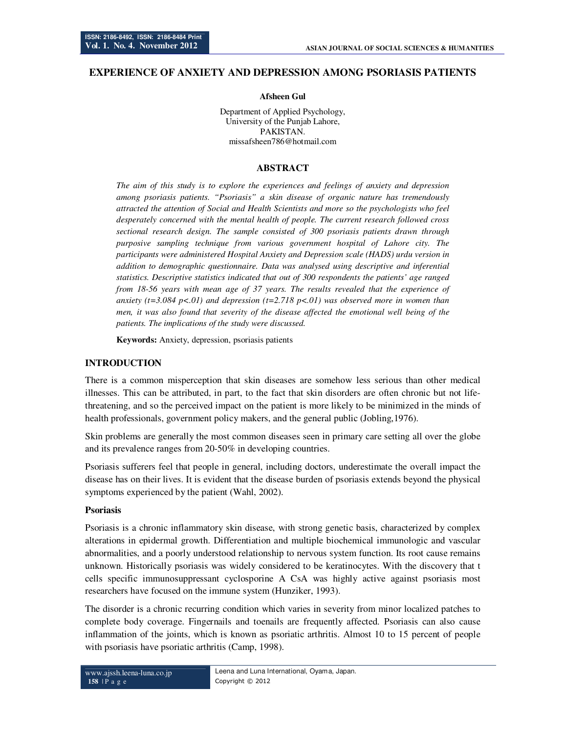## **EXPERIENCE OF ANXIETY AND DEPRESSION AMONG PSORIASIS PATIENTS**

#### **Afsheen Gul**

Department of Applied Psychology, University of the Punjab Lahore, PAKISTAN. missafsheen786@hotmail.com

## **ABSTRACT**

*The aim of this study is to explore the experiences and feelings of anxiety and depression among psoriasis patients. "Psoriasis" a skin disease of organic nature has tremendously attracted the attention of Social and Health Scientists and more so the psychologists who feel desperately concerned with the mental health of people. The current research followed cross sectional research design. The sample consisted of 300 psoriasis patients drawn through purposive sampling technique from various government hospital of Lahore city. The participants were administered Hospital Anxiety and Depression scale (HADS) urdu version in addition to demographic questionnaire. Data was analysed using descriptive and inferential statistics. Descriptive statistics indicated that out of 300 respondents the patients' age ranged from 18-56 years with mean age of 37 years. The results revealed that the experience of anxiety (t=3.084 p<.01) and depression (t=2.718 p<.01) was observed more in women than men, it was also found that severity of the disease affected the emotional well being of the patients. The implications of the study were discussed.* 

**Keywords:** Anxiety, depression, psoriasis patients

### **INTRODUCTION**

There is a common misperception that skin diseases are somehow less serious than other medical illnesses. This can be attributed, in part, to the fact that skin disorders are often chronic but not lifethreatening, and so the perceived impact on the patient is more likely to be minimized in the minds of health professionals, government policy makers, and the general public (Jobling,1976).

Skin problems are generally the most common diseases seen in primary care setting all over the globe and its prevalence ranges from 20-50% in developing countries.

Psoriasis sufferers feel that people in general, including doctors, underestimate the overall impact the disease has on their lives. It is evident that the disease burden of psoriasis extends beyond the physical symptoms experienced by the patient (Wahl, 2002).

### **Psoriasis**

Psoriasis is a chronic inflammatory skin disease, with strong genetic basis, characterized by complex alterations in epidermal growth. Differentiation and multiple biochemical immunologic and vascular abnormalities, and a poorly understood relationship to nervous system function. Its root cause remains unknown. Historically psoriasis was widely considered to be keratinocytes. With the discovery that t cells specific immunosuppressant cyclosporine A CsA was highly active against psoriasis most researchers have focused on the immune system (Hunziker, 1993).

The disorder is a chronic recurring condition which varies in severity from minor localized patches to complete body coverage. Fingernails and toenails are frequently affected. Psoriasis can also cause inflammation of the joints, which is known as psoriatic arthritis. Almost 10 to 15 percent of people with psoriasis have psoriatic arthritis (Camp, 1998).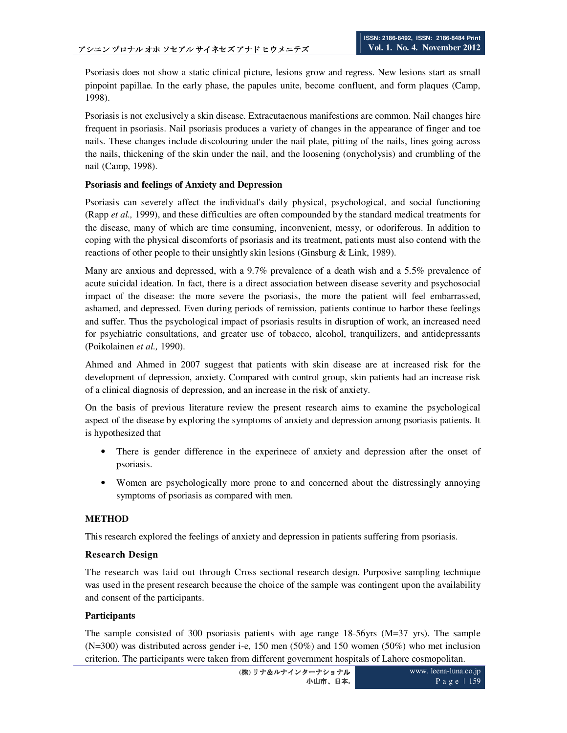Psoriasis does not show a static clinical picture, lesions grow and regress. New lesions start as small pinpoint papillae. In the early phase, the papules unite, become confluent, and form plaques (Camp, 1998).

Psoriasis is not exclusively a skin disease. Extracutaenous manifestions are common. Nail changes hire frequent in psoriasis. Nail psoriasis produces a variety of changes in the appearance of finger and toe nails. These changes include discolouring under the nail plate, pitting of the nails, lines going across the nails, thickening of the skin under the nail, and the loosening (onycholysis) and crumbling of the nail (Camp, 1998).

## **Psoriasis and feelings of Anxiety and Depression**

Psoriasis can severely affect the individual's daily physical, psychological, and social functioning (Rapp *et al.,* 1999), and these difficulties are often compounded by the standard medical treatments for the disease, many of which are time consuming, inconvenient, messy, or odoriferous. In addition to coping with the physical discomforts of psoriasis and its treatment, patients must also contend with the reactions of other people to their unsightly skin lesions (Ginsburg & Link, 1989).

Many are anxious and depressed, with a 9.7% prevalence of a death wish and a 5.5% prevalence of acute suicidal ideation. In fact, there is a direct association between disease severity and psychosocial impact of the disease: the more severe the psoriasis, the more the patient will feel embarrassed, ashamed, and depressed. Even during periods of remission, patients continue to harbor these feelings and suffer. Thus the psychological impact of psoriasis results in disruption of work, an increased need for psychiatric consultations, and greater use of tobacco, alcohol, tranquilizers, and antidepressants (Poikolainen *et al.,* 1990).

Ahmed and Ahmed in 2007 suggest that patients with skin disease are at increased risk for the development of depression, anxiety. Compared with control group, skin patients had an increase risk of a clinical diagnosis of depression, and an increase in the risk of anxiety.

On the basis of previous literature review the present research aims to examine the psychological aspect of the disease by exploring the symptoms of anxiety and depression among psoriasis patients. It is hypothesized that

- There is gender difference in the experinece of anxiety and depression after the onset of psoriasis.
- Women are psychologically more prone to and concerned about the distressingly annoying symptoms of psoriasis as compared with men.

## **METHOD**

This research explored the feelings of anxiety and depression in patients suffering from psoriasis.

### **Research Design**

The research was laid out through Cross sectional research design. Purposive sampling technique was used in the present research because the choice of the sample was contingent upon the availability and consent of the participants.

### **Participants**

The sample consisted of 300 psoriasis patients with age range 18-56yrs (M=37 yrs). The sample (N=300) was distributed across gender i-e, 150 men (50%) and 150 women (50%) who met inclusion criterion. The participants were taken from different government hospitals of Lahore cosmopolitan.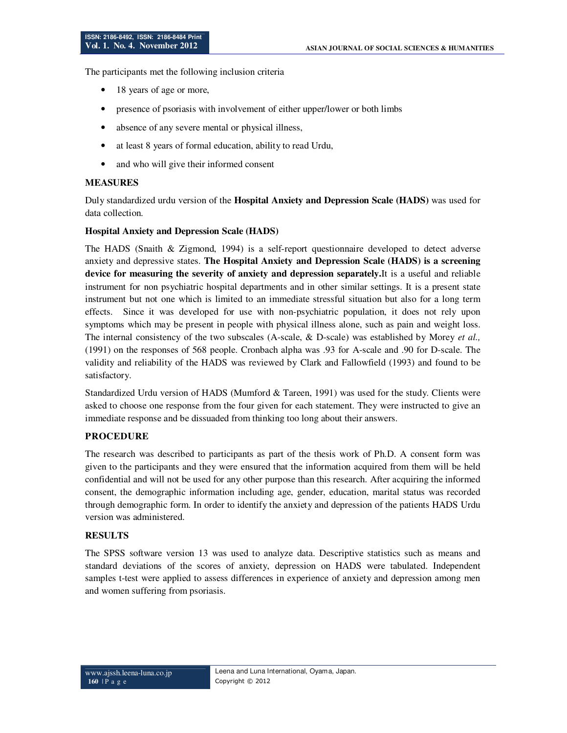The participants met the following inclusion criteria

- 18 years of age or more,
- presence of psoriasis with involvement of either upper/lower or both limbs
- absence of any severe mental or physical illness,
- at least 8 years of formal education, ability to read Urdu,
- and who will give their informed consent

## **MEASURES**

Duly standardized urdu version of the **Hospital Anxiety and Depression Scale (HADS)** was used for data collection.

### **Hospital Anxiety and Depression Scale (HADS)**

The HADS (Snaith & Zigmond, 1994) is a self-report questionnaire developed to detect adverse anxiety and depressive states. **The Hospital Anxiety and Depression Scale (HADS) is a screening device for measuring the severity of anxiety and depression separately.**It is a useful and reliable instrument for non psychiatric hospital departments and in other similar settings. It is a present state instrument but not one which is limited to an immediate stressful situation but also for a long term effects. Since it was developed for use with non-psychiatric population, it does not rely upon symptoms which may be present in people with physical illness alone, such as pain and weight loss. The internal consistency of the two subscales (A-scale, & D-scale) was established by Morey *et al.,* (1991) on the responses of 568 people. Cronbach alpha was .93 for A-scale and .90 for D-scale. The validity and reliability of the HADS was reviewed by Clark and Fallowfield (1993) and found to be satisfactory.

Standardized Urdu version of HADS (Mumford & Tareen, 1991) was used for the study. Clients were asked to choose one response from the four given for each statement. They were instructed to give an immediate response and be dissuaded from thinking too long about their answers.

### **PROCEDURE**

The research was described to participants as part of the thesis work of Ph.D. A consent form was given to the participants and they were ensured that the information acquired from them will be held confidential and will not be used for any other purpose than this research. After acquiring the informed consent, the demographic information including age, gender, education, marital status was recorded through demographic form. In order to identify the anxiety and depression of the patients HADS Urdu version was administered.

### **RESULTS**

The SPSS software version 13 was used to analyze data. Descriptive statistics such as means and standard deviations of the scores of anxiety, depression on HADS were tabulated. Independent samples t-test were applied to assess differences in experience of anxiety and depression among men and women suffering from psoriasis.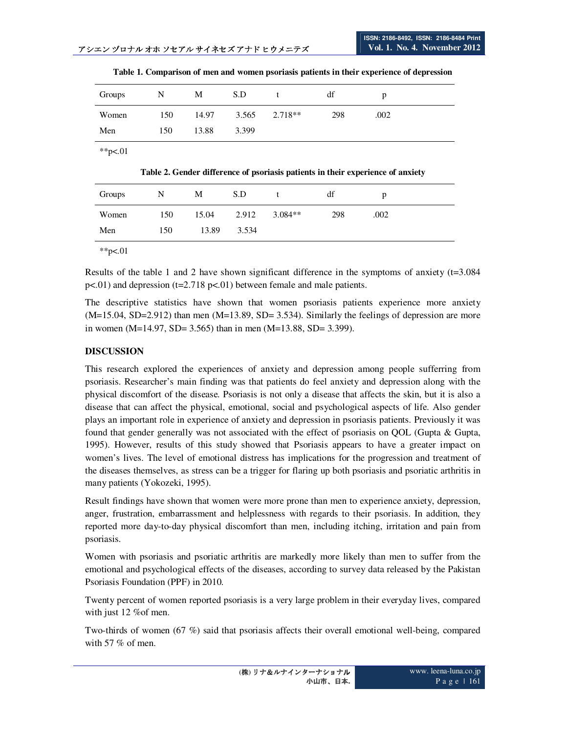| Groups | N   | M     | S.D   |                   | df  | D    |
|--------|-----|-------|-------|-------------------|-----|------|
| Women  | 150 | 14.97 |       | $3.565$ $2.718**$ | 298 | .002 |
| Men    | 150 | 13.88 | 3.399 |                   |     |      |

**Table 1. Comparison of men and women psoriasis patients in their experience of depression** 

\*\*p<.01

**Table 2. Gender difference of psoriasis patients in their experience of anxiety** 

| Groups | N   | M     | S.D   |           | df  | p    |
|--------|-----|-------|-------|-----------|-----|------|
| Women  | 150 | 15.04 | 2.912 | $3.084**$ | 298 | .002 |
| Men    | 150 | 13.89 | 3.534 |           |     |      |

\*\*p $< 01$ 

Results of the table 1 and 2 have shown significant difference in the symptoms of anxiety (t=3.084 p<.01) and depression (t=2.718 p<.01) between female and male patients.

The descriptive statistics have shown that women psoriasis patients experience more anxiety (M=15.04, SD=2.912) than men (M=13.89, SD= 3.534). Similarly the feelings of depression are more in women (M=14.97, SD= 3.565) than in men (M=13.88, SD= 3.399).

# **DISCUSSION**

This research explored the experiences of anxiety and depression among people sufferring from psoriasis. Researcher's main finding was that patients do feel anxiety and depression along with the physical discomfort of the disease. Psoriasis is not only a disease that affects the skin, but it is also a disease that can affect the physical, emotional, social and psychological aspects of life. Also gender plays an important role in experience of anxiety and depression in psoriasis patients. Previously it was found that gender generally was not associated with the effect of psoriasis on QOL (Gupta & Gupta, 1995). However, results of this study showed that Psoriasis appears to have a greater impact on women's lives. The level of emotional distress has implications for the progression and treatment of the diseases themselves, as stress can be a trigger for flaring up both psoriasis and psoriatic arthritis in many patients (Yokozeki, 1995).

Result findings have shown that women were more prone than men to experience anxiety, depression, anger, frustration, embarrassment and helplessness with regards to their psoriasis. In addition, they reported more day-to-day physical discomfort than men, including itching, irritation and pain from psoriasis.

Women with psoriasis and psoriatic arthritis are markedly more likely than men to suffer from the emotional and psychological effects of the diseases, according to survey data released by the Pakistan Psoriasis Foundation (PPF) in 2010.

Twenty percent of women reported psoriasis is a very large problem in their everyday lives, compared with just 12 %of men.

Two-thirds of women (67 %) said that psoriasis affects their overall emotional well-being, compared with 57 % of men.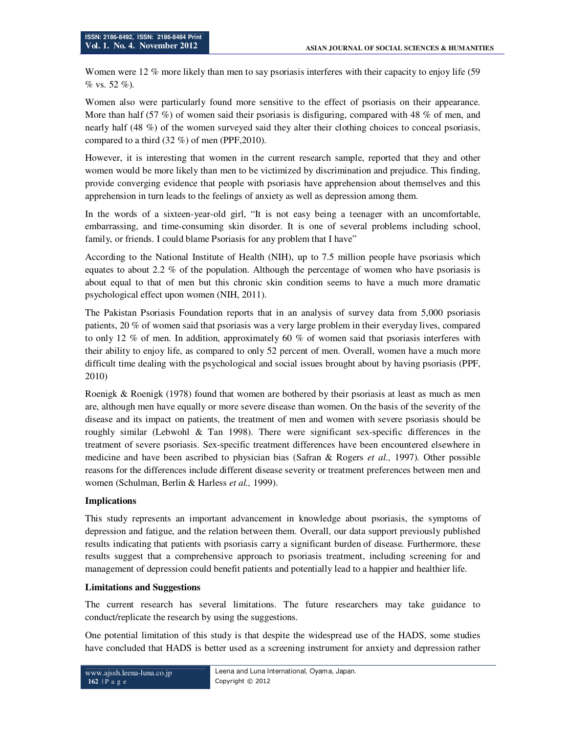Women were 12 % more likely than men to say psoriasis interferes with their capacity to enjoy life (59  $% vs. 52 %$ .

Women also were particularly found more sensitive to the effect of psoriasis on their appearance. More than half  $(57 \%)$  of women said their psoriasis is disfiguring, compared with 48 % of men, and nearly half (48 %) of the women surveyed said they alter their clothing choices to conceal psoriasis, compared to a third (32 %) of men (PPF,2010).

However, it is interesting that women in the current research sample, reported that they and other women would be more likely than men to be victimized by discrimination and prejudice. This finding, provide converging evidence that people with psoriasis have apprehension about themselves and this apprehension in turn leads to the feelings of anxiety as well as depression among them.

In the words of a sixteen-year-old girl, "It is not easy being a teenager with an uncomfortable, embarrassing, and time-consuming skin disorder. It is one of several problems including school, family, or friends. I could blame Psoriasis for any problem that I have"

According to the National Institute of Health (NIH), up to 7.5 million people have psoriasis which equates to about 2.2 % of the population. Although the percentage of women who have psoriasis is about equal to that of men but this chronic skin condition seems to have a much more dramatic psychological effect upon women (NIH, 2011).

The Pakistan Psoriasis Foundation reports that in an analysis of survey data from 5,000 psoriasis patients, 20 % of women said that psoriasis was a very large problem in their everyday lives, compared to only 12 % of men. In addition, approximately 60 % of women said that psoriasis interferes with their ability to enjoy life, as compared to only 52 percent of men. Overall, women have a much more difficult time dealing with the psychological and social issues brought about by having psoriasis (PPF, 2010)

Roenigk & Roenigk (1978) found that women are bothered by their psoriasis at least as much as men are, although men have equally or more severe disease than women. On the basis of the severity of the disease and its impact on patients, the treatment of men and women with severe psoriasis should be roughly similar (Lebwohl  $\&$  Tan 1998). There were significant sex-specific differences in the treatment of severe psoriasis. Sex-specific treatment differences have been encountered elsewhere in medicine and have been ascribed to physician bias (Safran & Rogers *et al.,* 1997). Other possible reasons for the differences include different disease severity or treatment preferences between men and women (Schulman, Berlin & Harless *et al.,* 1999).

### **Implications**

This study represents an important advancement in knowledge about psoriasis, the symptoms of depression and fatigue, and the relation between them. Overall, our data support previously published results indicating that patients with psoriasis carry a significant burden of disease. Furthermore, these results suggest that a comprehensive approach to psoriasis treatment, including screening for and management of depression could benefit patients and potentially lead to a happier and healthier life.

### **Limitations and Suggestions**

The current research has several limitations. The future researchers may take guidance to conduct/replicate the research by using the suggestions.

One potential limitation of this study is that despite the widespread use of the HADS, some studies have concluded that HADS is better used as a screening instrument for anxiety and depression rather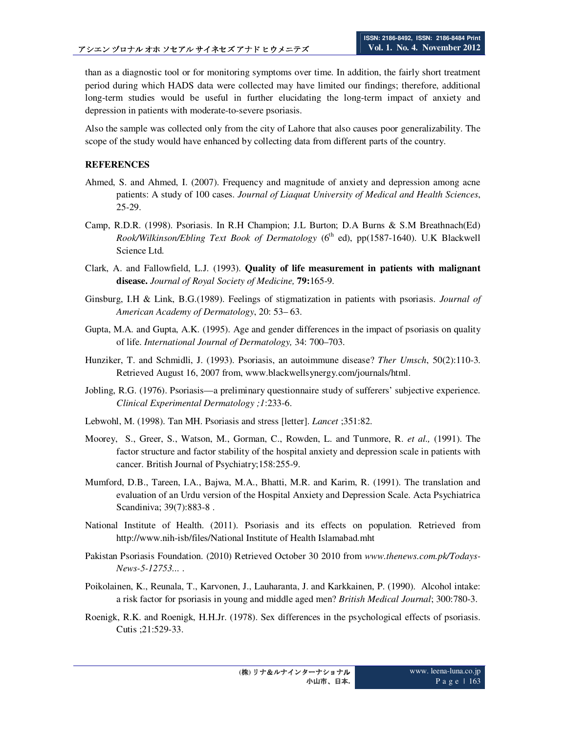than as a diagnostic tool or for monitoring symptoms over time. In addition, the fairly short treatment period during which HADS data were collected may have limited our findings; therefore, additional long-term studies would be useful in further elucidating the long-term impact of anxiety and depression in patients with moderate-to-severe psoriasis.

Also the sample was collected only from the city of Lahore that also causes poor generalizability. The scope of the study would have enhanced by collecting data from different parts of the country.

### **REFERENCES**

- Ahmed, S. and Ahmed, I. (2007). Frequency and magnitude of anxiety and depression among acne patients: A study of 100 cases. *Journal of Liaquat University of Medical and Health Sciences*, 25-29.
- Camp, R.D.R. (1998). Psoriasis. In R.H Champion; J.L Burton; D.A Burns & S.M Breathnach(Ed) *Rook/Wilkinson/Ebling Text Book of Dermatology* (6<sup>th</sup> ed), pp(1587-1640). U.K Blackwell Science Ltd.
- Clark, A. and Fallowfield, L.J. (1993). **Quality of life measurement in patients with malignant disease.** *Journal of Royal Society of Medicine,* **79:**165-9.
- Ginsburg, I.H & Link, B.G.(1989). Feelings of stigmatization in patients with psoriasis. *Journal of American Academy of Dermatology*, 20: 53– 63.
- Gupta, M.A. and Gupta, A.K. (1995). Age and gender differences in the impact of psoriasis on quality of life. *International Journal of Dermatology,* 34: 700–703.
- Hunziker, T. and Schmidli, J. (1993). Psoriasis, an autoimmune disease? *Ther Umsch*, 50(2):110-3. Retrieved August 16, 2007 from, www.blackwellsynergy.com/journals/html.
- Jobling, R.G. (1976). Psoriasis—a preliminary questionnaire study of sufferers' subjective experience. *Clinical Experimental Dermatology ;1*:233-6.
- Lebwohl, M. (1998). Tan MH. Psoriasis and stress [letter]. *Lancet* ;351:82.
- Moorey, S., Greer, S., Watson, M., Gorman, C., Rowden, L. and Tunmore, R. *et al.,* (1991). The factor structure and factor stability of the hospital anxiety and depression scale in patients with cancer. British Journal of Psychiatry;158:255-9.
- Mumford, D.B., Tareen, I.A., Bajwa, M.A., Bhatti, M.R. and Karim, R. (1991). The translation and evaluation of an Urdu version of the Hospital Anxiety and Depression Scale. Acta Psychiatrica Scandiniva; 39(7):883-8 .
- National Institute of Health. (2011). Psoriasis and its effects on population. Retrieved from http://www.nih-isb/files/National Institute of Health Islamabad.mht
- Pakistan Psoriasis Foundation. (2010) Retrieved October 30 2010 from *www.thenews.com.pk/Todays-News-5-12753...* .
- Poikolainen, K., Reunala, T., Karvonen, J., Lauharanta, J. and Karkkainen, P. (1990). Alcohol intake: a risk factor for psoriasis in young and middle aged men? *British Medical Journal*; 300:780-3.
- Roenigk, R.K. and Roenigk, H.H.Jr. (1978). Sex differences in the psychological effects of psoriasis. Cutis ;21:529-33.